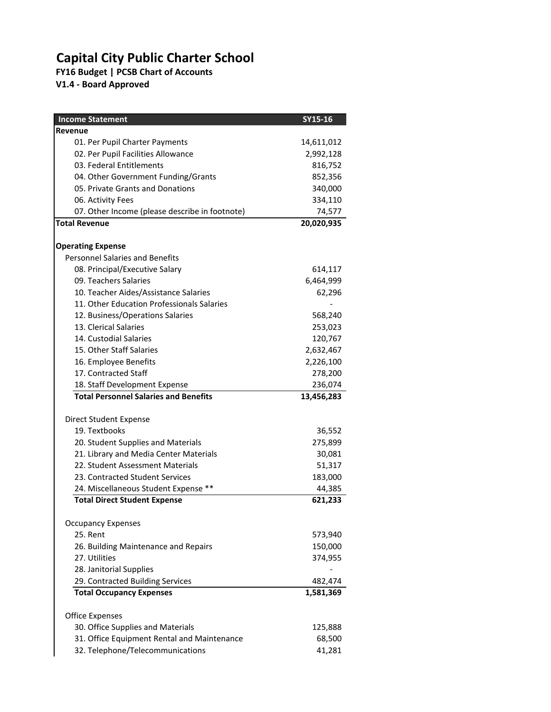## **Capital City Public Charter School**

**FY16 Budget | PCSB Chart of Accounts**

**V1.4 - Board Approved**

| <b>Income Statement</b>                                 | SY15-16    |
|---------------------------------------------------------|------------|
| Revenue                                                 |            |
| 01. Per Pupil Charter Payments                          | 14,611,012 |
| 02. Per Pupil Facilities Allowance                      | 2,992,128  |
| 03. Federal Entitlements                                | 816,752    |
| 04. Other Government Funding/Grants                     | 852,356    |
| 05. Private Grants and Donations                        | 340,000    |
| 06. Activity Fees                                       | 334,110    |
| 07. Other Income (please describe in footnote)          | 74,577     |
| <b>Total Revenue</b>                                    | 20,020,935 |
|                                                         |            |
| <b>Operating Expense</b>                                |            |
| <b>Personnel Salaries and Benefits</b>                  |            |
| 08. Principal/Executive Salary<br>09. Teachers Salaries | 614,117    |
| 10. Teacher Aides/Assistance Salaries                   | 6,464,999  |
| 11. Other Education Professionals Salaries              | 62,296     |
| 12. Business/Operations Salaries                        | 568,240    |
| 13. Clerical Salaries                                   | 253,023    |
| 14. Custodial Salaries                                  | 120,767    |
| 15. Other Staff Salaries                                | 2,632,467  |
| 16. Employee Benefits                                   | 2,226,100  |
| 17. Contracted Staff                                    | 278,200    |
| 18. Staff Development Expense                           | 236,074    |
| <b>Total Personnel Salaries and Benefits</b>            | 13,456,283 |
|                                                         |            |
| Direct Student Expense                                  |            |
| 19. Textbooks                                           | 36,552     |
| 20. Student Supplies and Materials                      | 275,899    |
| 21. Library and Media Center Materials                  | 30,081     |
| 22. Student Assessment Materials                        | 51,317     |
| 23. Contracted Student Services                         | 183,000    |
| 24. Miscellaneous Student Expense **                    | 44,385     |
| <b>Total Direct Student Expense</b>                     | 621,233    |
| <b>Occupancy Expenses</b>                               |            |
| 25. Rent                                                | 573,940    |
| 26. Building Maintenance and Repairs                    | 150,000    |
| 27. Utilities                                           | 374,955    |
| 28. Janitorial Supplies                                 |            |
| 29. Contracted Building Services                        | 482,474    |
| <b>Total Occupancy Expenses</b>                         | 1,581,369  |
|                                                         |            |
| <b>Office Expenses</b>                                  |            |
| 30. Office Supplies and Materials                       | 125,888    |
| 31. Office Equipment Rental and Maintenance             | 68,500     |
| 32. Telephone/Telecommunications                        | 41,281     |